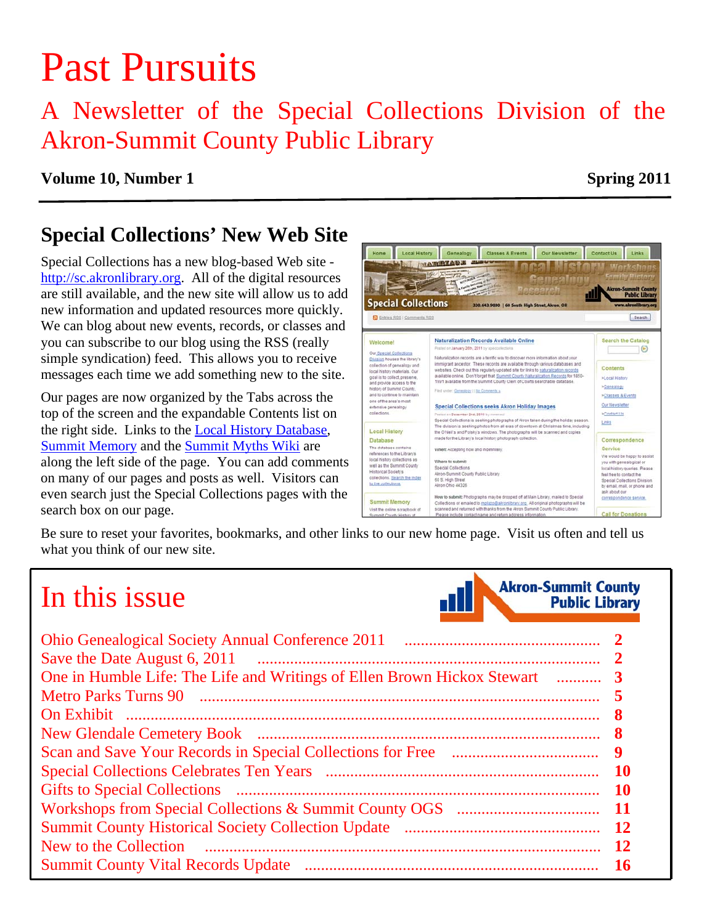# Past Pursuits

## A Newsletter of the Special Collections Division of the Akron-Summit County Public Library

### **Volume 10, Number 1** Spring 2011

### **Special Collections' New Web Site**

Special Collections has a new blog-based Web site http://sc.akronlibrary.org. All of the digital resources are still available, and the new site will allow us to add new information and updated resources more quickly. We can blog about new events, records, or classes and you can subscribe to our blog using the RSS (really simple syndication) feed. This allows you to receive messages each time we add something new to the site.

Our pages are now organized by the Tabs across the top of the screen and the expandable Contents list on the right side. Links to the [Local History Database](http://www.akronlibrary.org/DBS/SpecColldbO/Default.aspx), [Summit Memory](http://www.summitmemory.org/) and the [Summit Myths Wiki](http://summitcountymyths.pbworks.com/w/page/18930264/FrontPage) are along the left side of the page. You can add comments on many of our pages and posts as well. Visitors can even search just the Special Collections pages with the search box on our page.



Be sure to reset your favorites, bookmarks, and other links to our new home page. Visit us often and tell us what you think of our new site.

## In this issue



|                       | 8         |
|-----------------------|-----------|
|                       | 8         |
|                       | 9         |
|                       | -10       |
|                       | -10       |
|                       | - 11      |
|                       | <b>12</b> |
| New to the Collection |           |
|                       | -16       |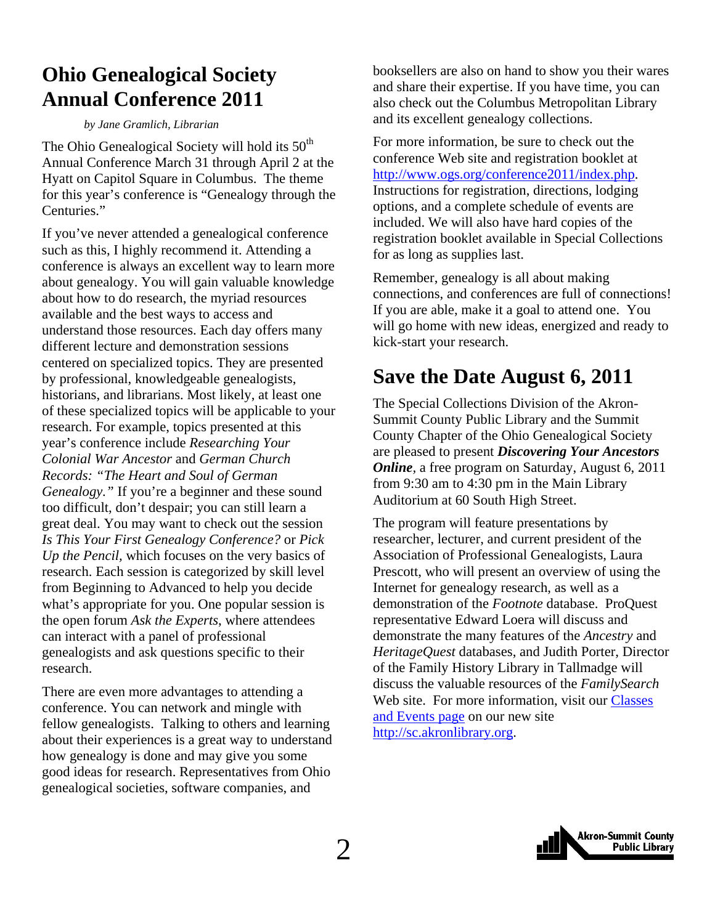### <span id="page-1-0"></span>**Ohio Genealogical Society Annual Conference 2011**

#### *by Jane Gramlich, Librarian*

The Ohio Genealogical Society will hold its  $50<sup>th</sup>$ Annual Conference March 31 through April 2 at the Hyatt on Capitol Square in Columbus. The theme for this year's conference is "Genealogy through the Centuries."

If you've never attended a genealogical conference such as this, I highly recommend it. Attending a conference is always an excellent way to learn more about genealogy. You will gain valuable knowledge about how to do research, the myriad resources available and the best ways to access and understand those resources. Each day offers many different lecture and demonstration sessions centered on specialized topics. They are presented by professional, knowledgeable genealogists, historians, and librarians. Most likely, at least one of these specialized topics will be applicable to your research. For example, topics presented at this year's conference include *Researching Your Colonial War Ancestor* and *German Church Records: "The Heart and Soul of German Genealogy."* If you're a beginner and these sound too difficult, don't despair; you can still learn a great deal. You may want to check out the session *Is This Your First Genealogy Conference?* or *Pick Up the Pencil,* which focuses on the very basics of research. Each session is categorized by skill level from Beginning to Advanced to help you decide what's appropriate for you. One popular session is the open forum *Ask the Experts*, where attendees can interact with a panel of professional genealogists and ask questions specific to their research.

There are even more advantages to attending a conference. You can network and mingle with fellow genealogists. Talking to others and learning about their experiences is a great way to understand how genealogy is done and may give you some good ideas for research. Representatives from Ohio genealogical societies, software companies, and

booksellers are also on hand to show you their wares and share their expertise. If you have time, you can also check out the Columbus Metropolitan Library and its excellent genealogy collections.

For more information, be sure to check out the conference Web site and registration booklet at http://www.ogs.org/conference2011/index.php. Instructions for registration, directions, lodging options, and a complete schedule of events are included. We will also have hard copies of the registration booklet available in Special Collections for as long as supplies last.

Remember, genealogy is all about making connections, and conferences are full of connections! If you are able, make it a goal to attend one. You will go home with new ideas, energized and ready to kick-start your research.

### **Save the Date August 6, 2011**

The Special Collections Division of the Akron-Summit County Public Library and the Summit County Chapter of the Ohio Genealogical Society are pleased to present *Discovering Your Ancestors Online,* a free program on Saturday, August 6, 2011 from 9:30 am to 4:30 pm in the Main Library Auditorium at 60 South High Street.

The program will feature presentations by researcher, lecturer, and current president of the Association of Professional Genealogists, Laura Prescott, who will present an overview of using the Internet for genealogy research, as well as a demonstration of the *Footnote* database. ProQuest representative Edward Loera will discuss and demonstrate the many features of the *Ancestry* and *HeritageQuest* databases, and Judith Porter, Director of the Family History Library in Tallmadge will discuss the valuable resources of the *FamilySearch* [Web site. For more information, visit our Classes](http://sc.akronlibrary.org/classes-events/) and Events page on our new site http://sc.akronlibrary.org.

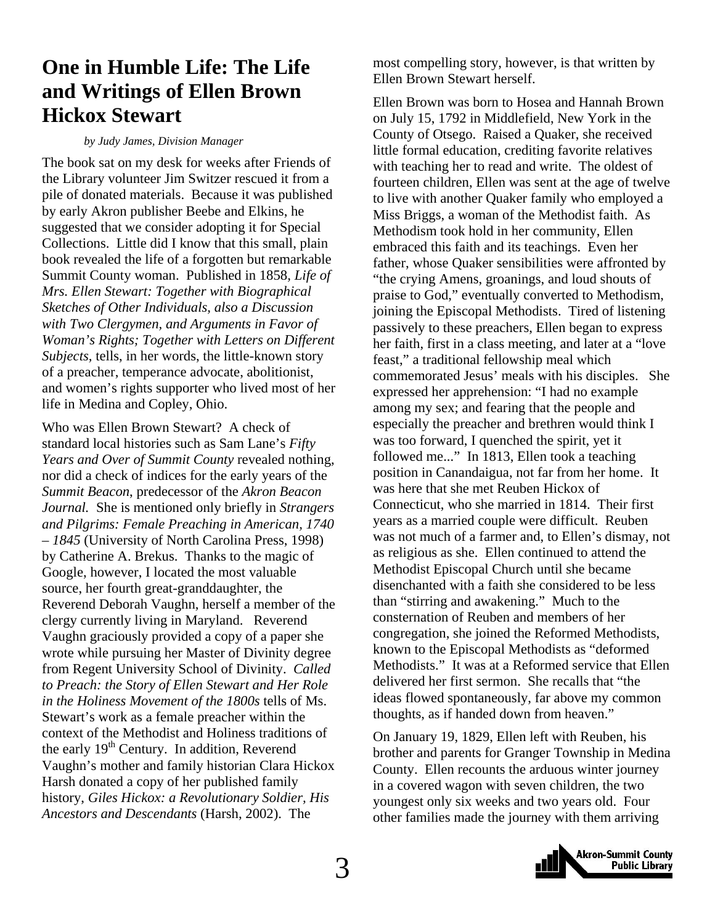### <span id="page-2-0"></span>**One in Humble Life: The Life and Writings of Ellen Brown Hickox Stewart**

#### *by Judy James, Division Manager*

The book sat on my desk for weeks after Friends of the Library volunteer Jim Switzer rescued it from a pile of donated materials. Because it was published by early Akron publisher Beebe and Elkins, he suggested that we consider adopting it for Special Collections. Little did I know that this small, plain book revealed the life of a forgotten but remarkable Summit County woman. Published in 1858*, Life of Mrs. Ellen Stewart: Together with Biographical Sketches of Other Individuals, also a Discussion with Two Clergymen, and Arguments in Favor of Woman's Rights; Together with Letters on Different Subjects,* tells, in her words, the little-known story of a preacher, temperance advocate, abolitionist, and women's rights supporter who lived most of her life in Medina and Copley, Ohio.

Who was Ellen Brown Stewart? A check of standard local histories such as Sam Lane's *Fifty Years and Over of Summit County* revealed nothing, nor did a check of indices for the early years of the *Summit Beacon*, predecessor of the *Akron Beacon Journal.* She is mentioned only briefly in *Strangers and Pilgrims: Female Preaching in American, 1740 – 1845* (University of North Carolina Press, 1998) by Catherine A. Brekus. Thanks to the magic of Google, however, I located the most valuable source, her fourth great-granddaughter, the Reverend Deborah Vaughn, herself a member of the clergy currently living in Maryland. Reverend Vaughn graciously provided a copy of a paper she wrote while pursuing her Master of Divinity degree from Regent University School of Divinity. *Called to Preach: the Story of Ellen Stewart and Her Role in the Holiness Movement of the 1800s* tells of Ms. Stewart's work as a female preacher within the context of the Methodist and Holiness traditions of the early  $19<sup>th</sup>$  Century. In addition, Reverend Vaughn's mother and family historian Clara Hickox Harsh donated a copy of her published family history, *Giles Hickox: a Revolutionary Soldier, His Ancestors and Descendants* (Harsh, 2002). The

most compelling story, however, is that written by Ellen Brown Stewart herself.

Ellen Brown was born to Hosea and Hannah Brown on July 15, 1792 in Middlefield, New York in the County of Otsego. Raised a Quaker, she received little formal education, crediting favorite relatives with teaching her to read and write. The oldest of fourteen children, Ellen was sent at the age of twelve to live with another Quaker family who employed a Miss Briggs, a woman of the Methodist faith. As Methodism took hold in her community, Ellen embraced this faith and its teachings. Even her father, whose Quaker sensibilities were affronted by "the crying Amens, groanings, and loud shouts of praise to God," eventually converted to Methodism, joining the Episcopal Methodists. Tired of listening passively to these preachers, Ellen began to express her faith, first in a class meeting, and later at a "love feast," a traditional fellowship meal which commemorated Jesus' meals with his disciples. She expressed her apprehension: "I had no example among my sex; and fearing that the people and especially the preacher and brethren would think I was too forward, I quenched the spirit, yet it followed me..." In 1813, Ellen took a teaching position in Canandaigua, not far from her home. It was here that she met Reuben Hickox of Connecticut, who she married in 1814. Their first years as a married couple were difficult. Reuben was not much of a farmer and, to Ellen's dismay, not as religious as she. Ellen continued to attend the Methodist Episcopal Church until she became disenchanted with a faith she considered to be less than "stirring and awakening." Much to the consternation of Reuben and members of her congregation, she joined the Reformed Methodists, known to the Episcopal Methodists as "deformed Methodists." It was at a Reformed service that Ellen delivered her first sermon. She recalls that "the ideas flowed spontaneously, far above my common thoughts, as if handed down from heaven."

On January 19, 1829, Ellen left with Reuben, his brother and parents for Granger Township in Medina County. Ellen recounts the arduous winter journey in a covered wagon with seven children, the two youngest only six weeks and two years old. Four other families made the journey with them arriving

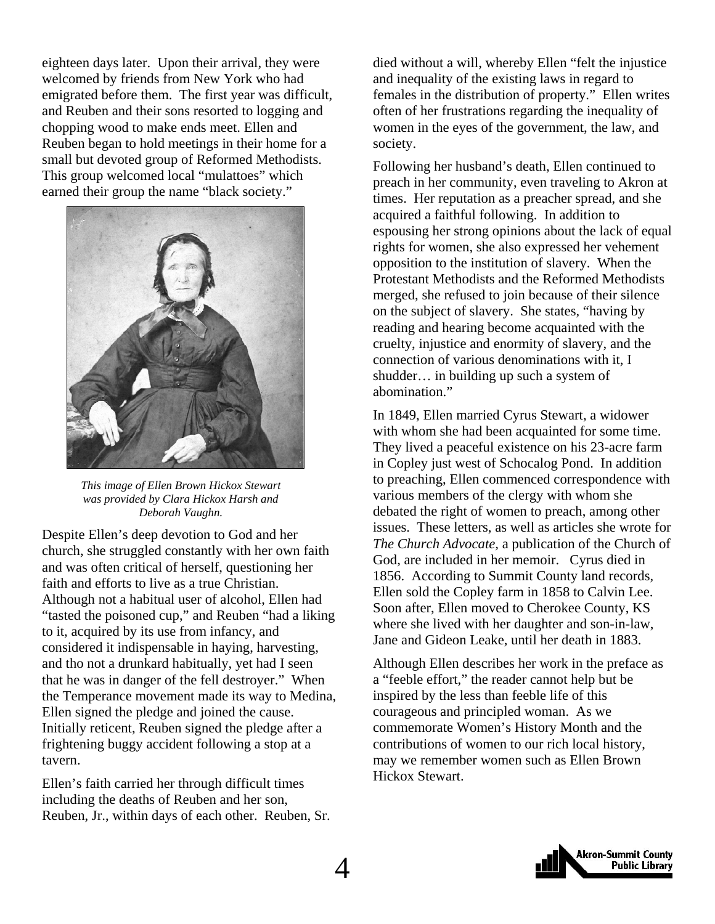eighteen days later. Upon their arrival, they were welcomed by friends from New York who had emigrated before them. The first year was difficult, and Reuben and their sons resorted to logging and chopping wood to make ends meet. Ellen and Reuben began to hold meetings in their home for a small but devoted group of Reformed Methodists. This group welcomed local "mulattoes" which earned their group the name "black society."



*This image of Ellen Brown Hickox Stewart was provided by Clara Hickox Harsh and Deborah Vaughn.* 

Despite Ellen's deep devotion to God and her church, she struggled constantly with her own faith and was often critical of herself, questioning her faith and efforts to live as a true Christian. Although not a habitual user of alcohol, Ellen had "tasted the poisoned cup," and Reuben "had a liking to it, acquired by its use from infancy, and considered it indispensable in haying, harvesting, and tho not a drunkard habitually, yet had I seen that he was in danger of the fell destroyer." When the Temperance movement made its way to Medina, Ellen signed the pledge and joined the cause. Initially reticent, Reuben signed the pledge after a frightening buggy accident following a stop at a tavern.

Ellen's faith carried her through difficult times including the deaths of Reuben and her son, Reuben, Jr., within days of each other. Reuben, Sr. died without a will, whereby Ellen "felt the injustice and inequality of the existing laws in regard to females in the distribution of property." Ellen writes often of her frustrations regarding the inequality of women in the eyes of the government, the law, and society.

Following her husband's death, Ellen continued to preach in her community, even traveling to Akron at times. Her reputation as a preacher spread, and she acquired a faithful following. In addition to espousing her strong opinions about the lack of equal rights for women, she also expressed her vehement opposition to the institution of slavery. When the Protestant Methodists and the Reformed Methodists merged, she refused to join because of their silence on the subject of slavery. She states, "having by reading and hearing become acquainted with the cruelty, injustice and enormity of slavery, and the connection of various denominations with it, I shudder… in building up such a system of abomination."

In 1849, Ellen married Cyrus Stewart, a widower with whom she had been acquainted for some time. They lived a peaceful existence on his 23-acre farm in Copley just west of Schocalog Pond. In addition to preaching, Ellen commenced correspondence with various members of the clergy with whom she debated the right of women to preach, among other issues. These letters, as well as articles she wrote for *The Church Advocate,* a publication of the Church of God, are included in her memoir. Cyrus died in 1856. According to Summit County land records, Ellen sold the Copley farm in 1858 to Calvin Lee. Soon after, Ellen moved to Cherokee County, KS where she lived with her daughter and son-in-law, Jane and Gideon Leake, until her death in 1883.

Although Ellen describes her work in the preface as a "feeble effort," the reader cannot help but be inspired by the less than feeble life of this courageous and principled woman. As we commemorate Women's History Month and the contributions of women to our rich local history, may we remember women such as Ellen Brown Hickox Stewart.

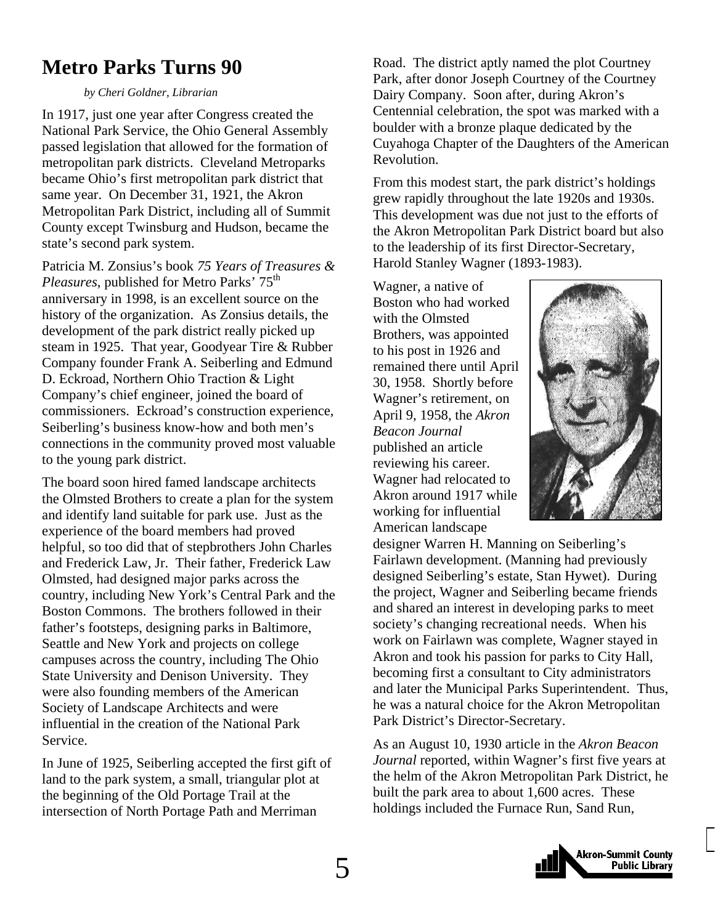### <span id="page-4-0"></span>**Metro Parks Turns 90**

*by Cheri Goldner, Librarian* 

In 1917, just one year after Congress created the National Park Service, the Ohio General Assembly passed legislation that allowed for the formation of metropolitan park districts. Cleveland Metroparks became Ohio's first metropolitan park district that same year. On December 31, 1921, the Akron Metropolitan Park District, including all of Summit County except Twinsburg and Hudson, became the state's second park system.

Patricia M. Zonsius's book *75 Years of Treasures & Pleasures*, published for Metro Parks' 75<sup>th</sup> anniversary in 1998, is an excellent source on the history of the organization. As Zonsius details, the development of the park district really picked up steam in 1925. That year, Goodyear Tire & Rubber Company founder Frank A. Seiberling and Edmund D. Eckroad, Northern Ohio Traction & Light Company's chief engineer, joined the board of commissioners. Eckroad's construction experience, Seiberling's business know-how and both men's connections in the community proved most valuable to the young park district.

The board soon hired famed landscape architects the Olmsted Brothers to create a plan for the system and identify land suitable for park use. Just as the experience of the board members had proved helpful, so too did that of stepbrothers John Charles and Frederick Law, Jr. Their father, Frederick Law Olmsted, had designed major parks across the country, including New York's Central Park and the Boston Commons. The brothers followed in their father's footsteps, designing parks in Baltimore, Seattle and New York and projects on college campuses across the country, including The Ohio State University and Denison University. They were also founding members of the American Society of Landscape Architects and were influential in the creation of the National Park Service.

In June of 1925, Seiberling accepted the first gift of land to the park system, a small, triangular plot at the beginning of the Old Portage Trail at the intersection of North Portage Path and Merriman

Road. The district aptly named the plot Courtney Park, after donor Joseph Courtney of the Courtney Dairy Company. Soon after, during Akron's Centennial celebration, the spot was marked with a boulder with a bronze plaque dedicated by the Cuyahoga Chapter of the Daughters of the American Revolution.

From this modest start, the park district's holdings grew rapidly throughout the late 1920s and 1930s. This development was due not just to the efforts of the Akron Metropolitan Park District board but also to the leadership of its first Director-Secretary, Harold Stanley Wagner (1893-1983).

Wagner, a native of Boston who had worked with the Olmsted Brothers, was appointed to his post in 1926 and remained there until April 30, 1958. Shortly before Wagner's retirement, on April 9, 1958, the *Akron Beacon Journal* published an article reviewing his career. Wagner had relocated to Akron around 1917 while working for influential American landscape



designer Warren H. Manning on Seiberling's Fairlawn development. (Manning had previously designed Seiberling's estate, Stan Hywet). During the project, Wagner and Seiberling became friends and shared an interest in developing parks to meet society's changing recreational needs. When his work on Fairlawn was complete, Wagner stayed in Akron and took his passion for parks to City Hall, becoming first a consultant to City administrators and later the Municipal Parks Superintendent. Thus, he was a natural choice for the Akron Metropolitan Park District's Director-Secretary.

As an August 10, 1930 article in the *Akron Beacon Journal* reported, within Wagner's first five years at the helm of the Akron Metropolitan Park District, he built the park area to about 1,600 acres. These holdings included the Furnace Run, Sand Run,

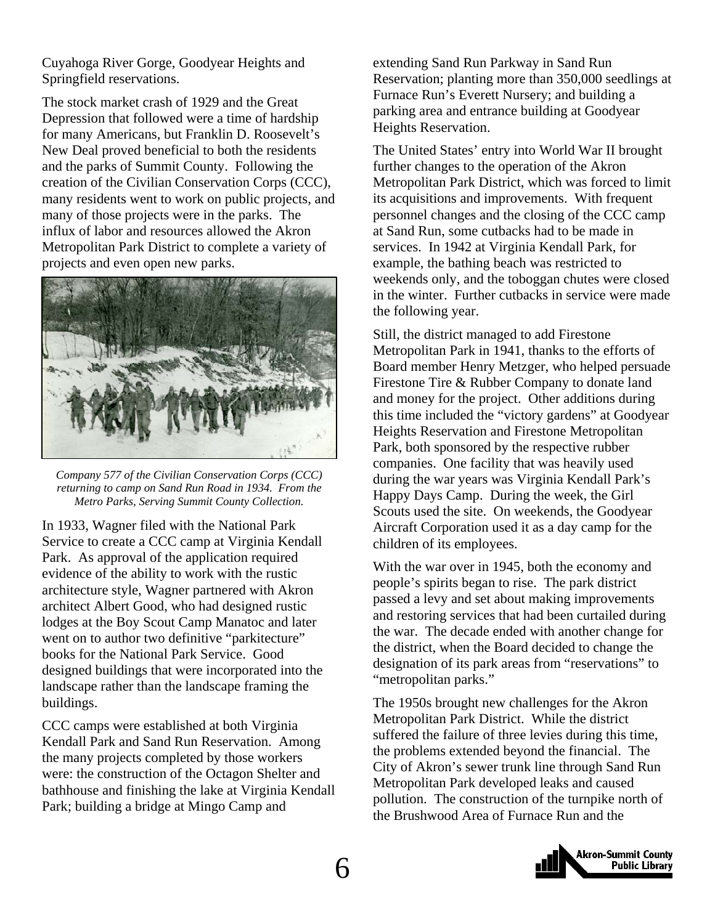Cuyahoga River Gorge, Goodyear Heights and Springfield reservations.

The stock market crash of 1929 and the Great Depression that followed were a time of hardship for many Americans, but Franklin D. Roosevelt's New Deal proved beneficial to both the residents and the parks of Summit County. Following the creation of the Civilian Conservation Corps (CCC), many residents went to work on public projects, and many of those projects were in the parks. The influx of labor and resources allowed the Akron Metropolitan Park District to complete a variety of projects and even open new parks.



*Company 577 of the Civilian Conservation Corps (CCC) returning to camp on Sand Run Road in 1934. From the Metro Parks, Serving Summit County Collection.* 

In 1933, Wagner filed with the National Park Service to create a CCC camp at Virginia Kendall Park. As approval of the application required evidence of the ability to work with the rustic architecture style, Wagner partnered with Akron architect Albert Good, who had designed rustic lodges at the Boy Scout Camp Manatoc and later went on to author two definitive "parkitecture" books for the National Park Service. Good designed buildings that were incorporated into the landscape rather than the landscape framing the buildings.

CCC camps were established at both Virginia Kendall Park and Sand Run Reservation. Among the many projects completed by those workers were: the construction of the Octagon Shelter and bathhouse and finishing the lake at Virginia Kendall Park; building a bridge at Mingo Camp and

extending Sand Run Parkway in Sand Run Reservation; planting more than 350,000 seedlings at Furnace Run's Everett Nursery; and building a parking area and entrance building at Goodyear Heights Reservation.

The United States' entry into World War II brought further changes to the operation of the Akron Metropolitan Park District, which was forced to limit its acquisitions and improvements. With frequent personnel changes and the closing of the CCC camp at Sand Run, some cutbacks had to be made in services. In 1942 at Virginia Kendall Park, for example, the bathing beach was restricted to weekends only, and the toboggan chutes were closed in the winter. Further cutbacks in service were made the following year.

Still, the district managed to add Firestone Metropolitan Park in 1941, thanks to the efforts of Board member Henry Metzger, who helped persuade Firestone Tire & Rubber Company to donate land and money for the project. Other additions during this time included the "victory gardens" at Goodyear Heights Reservation and Firestone Metropolitan Park, both sponsored by the respective rubber companies. One facility that was heavily used during the war years was Virginia Kendall Park's Happy Days Camp. During the week, the Girl Scouts used the site. On weekends, the Goodyear Aircraft Corporation used it as a day camp for the children of its employees.

With the war over in 1945, both the economy and people's spirits began to rise. The park district passed a levy and set about making improvements and restoring services that had been curtailed during the war. The decade ended with another change for the district, when the Board decided to change the designation of its park areas from "reservations" to "metropolitan parks."

The 1950s brought new challenges for the Akron Metropolitan Park District. While the district suffered the failure of three levies during this time, the problems extended beyond the financial. The City of Akron's sewer trunk line through Sand Run Metropolitan Park developed leaks and caused pollution. The construction of the turnpike north of the Brushwood Area of Furnace Run and the

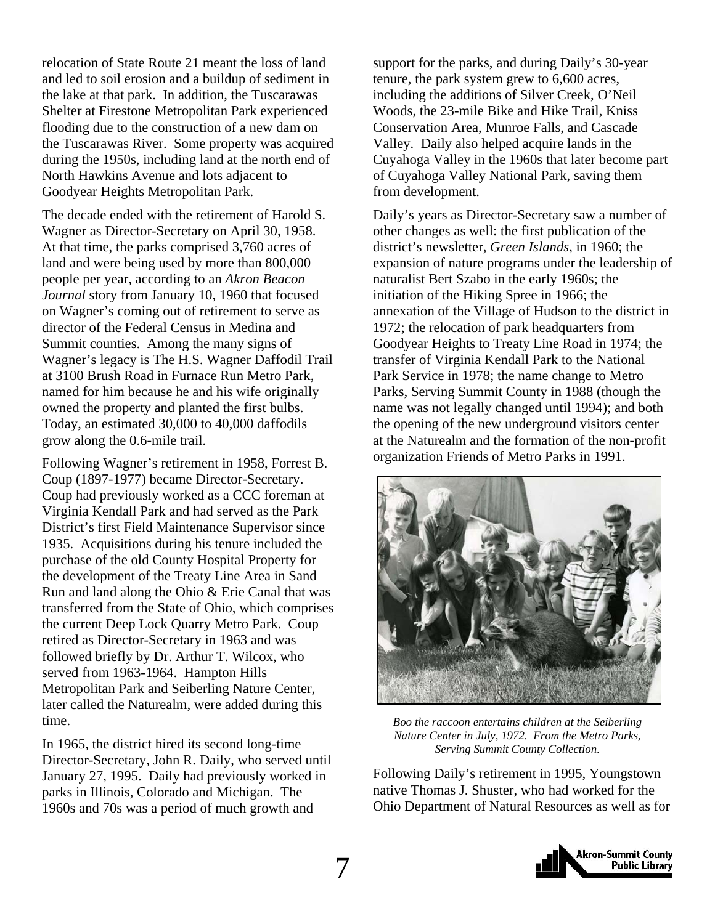relocation of State Route 21 meant the loss of land and led to soil erosion and a buildup of sediment in the lake at that park. In addition, the Tuscarawas Shelter at Firestone Metropolitan Park experienced flooding due to the construction of a new dam on the Tuscarawas River. Some property was acquired during the 1950s, including land at the north end of North Hawkins Avenue and lots adjacent to Goodyear Heights Metropolitan Park.

The decade ended with the retirement of Harold S. Wagner as Director-Secretary on April 30, 1958. At that time, the parks comprised 3,760 acres of land and were being used by more than 800,000 people per year, according to an *Akron Beacon Journal* story from January 10, 1960 that focused on Wagner's coming out of retirement to serve as director of the Federal Census in Medina and Summit counties. Among the many signs of Wagner's legacy is The H.S. Wagner Daffodil Trail at 3100 Brush Road in Furnace Run Metro Park, named for him because he and his wife originally owned the property and planted the first bulbs. Today, an estimated 30,000 to 40,000 daffodils grow along the 0.6-mile trail.

Following Wagner's retirement in 1958, Forrest B. Coup (1897-1977) became Director-Secretary. Coup had previously worked as a CCC foreman at Virginia Kendall Park and had served as the Park District's first Field Maintenance Supervisor since 1935. Acquisitions during his tenure included the purchase of the old County Hospital Property for the development of the Treaty Line Area in Sand Run and land along the Ohio & Erie Canal that was transferred from the State of Ohio, which comprises the current Deep Lock Quarry Metro Park. Coup retired as Director-Secretary in 1963 and was followed briefly by Dr. Arthur T. Wilcox, who served from 1963-1964. Hampton Hills Metropolitan Park and Seiberling Nature Center, later called the Naturealm, were added during this time.

In 1965, the district hired its second long-time Director-Secretary, John R. Daily, who served until January 27, 1995. Daily had previously worked in parks in Illinois, Colorado and Michigan. The 1960s and 70s was a period of much growth and

support for the parks, and during Daily's 30-year tenure, the park system grew to 6,600 acres, including the additions of Silver Creek, O'Neil Woods, the 23-mile Bike and Hike Trail, Kniss Conservation Area, Munroe Falls, and Cascade Valley. Daily also helped acquire lands in the Cuyahoga Valley in the 1960s that later become part of Cuyahoga Valley National Park, saving them from development.

Daily's years as Director-Secretary saw a number of other changes as well: the first publication of the district's newsletter, *Green Islands*, in 1960; the expansion of nature programs under the leadership of naturalist Bert Szabo in the early 1960s; the initiation of the Hiking Spree in 1966; the annexation of the Village of Hudson to the district in 1972; the relocation of park headquarters from Goodyear Heights to Treaty Line Road in 1974; the transfer of Virginia Kendall Park to the National Park Service in 1978; the name change to Metro Parks, Serving Summit County in 1988 (though the name was not legally changed until 1994); and both the opening of the new underground visitors center at the Naturealm and the formation of the non-profit organization Friends of Metro Parks in 1991.



*Boo the raccoon entertains children at the Seiberling Nature Center in July, 1972. From the Metro Parks, Serving Summit County Collection.* 

Following Daily's retirement in 1995, Youngstown native Thomas J. Shuster, who had worked for the Ohio Department of Natural Resources as well as for

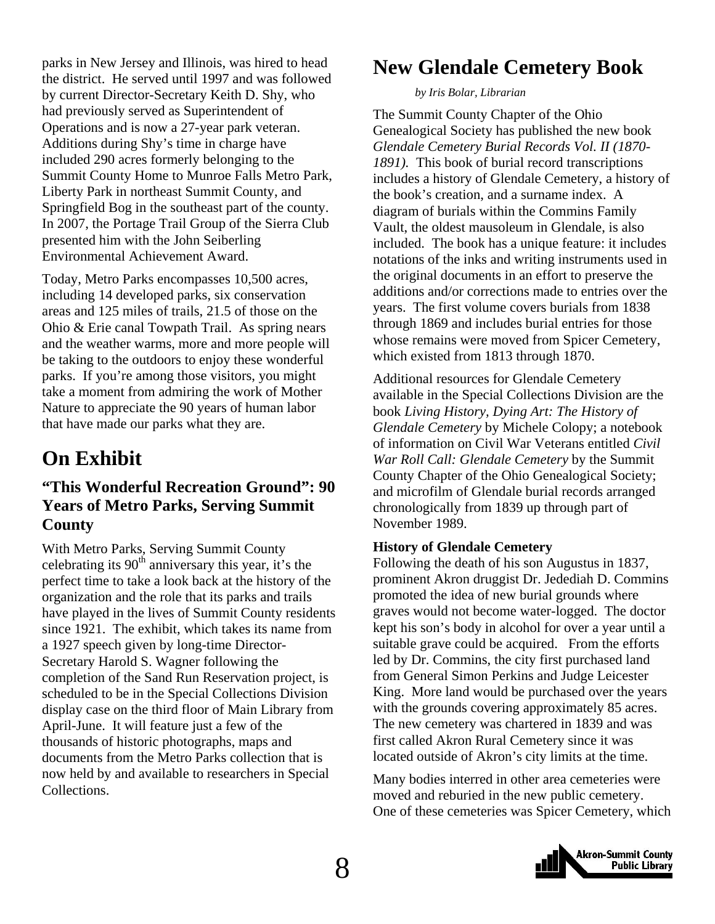<span id="page-7-0"></span>parks in New Jersey and Illinois, was hired to head the district. He served until 1997 and was followed by current Director-Secretary Keith D. Shy, who had previously served as Superintendent of Operations and is now a 27-year park veteran. Additions during Shy's time in charge have included 290 acres formerly belonging to the Summit County Home to Munroe Falls Metro Park, Liberty Park in northeast Summit County, and Springfield Bog in the southeast part of the county. In 2007, the Portage Trail Group of the Sierra Club presented him with the John Seiberling Environmental Achievement Award.

Today, Metro Parks encompasses 10,500 acres, including 14 developed parks, six conservation areas and 125 miles of trails, 21.5 of those on the Ohio & Erie canal Towpath Trail. As spring nears and the weather warms, more and more people will be taking to the outdoors to enjoy these wonderful parks. If you're among those visitors, you might take a moment from admiring the work of Mother Nature to appreciate the 90 years of human labor that have made our parks what they are.

### **On Exhibit**

### **"This Wonderful Recreation Ground": 90 Years of Metro Parks, Serving Summit County**

With Metro Parks, Serving Summit County celebrating its  $90<sup>th</sup>$  anniversary this year, it's the perfect time to take a look back at the history of the organization and the role that its parks and trails have played in the lives of Summit County residents since 1921. The exhibit, which takes its name from a 1927 speech given by long-time Director-Secretary Harold S. Wagner following the completion of the Sand Run Reservation project, is scheduled to be in the Special Collections Division display case on the third floor of Main Library from April-June. It will feature just a few of the thousands of historic photographs, maps and documents from the Metro Parks collection that is now held by and available to researchers in Special Collections.

### **New Glendale Cemetery Book**

#### *by Iris Bolar, Librarian*

The Summit County Chapter of the Ohio Genealogical Society has published the new book *Glendale Cemetery Burial Records Vol. II (1870- 1891).* This book of burial record transcriptions includes a history of Glendale Cemetery, a history of the book's creation, and a surname index. A diagram of burials within the Commins Family Vault, the oldest mausoleum in Glendale, is also included. The book has a unique feature: it includes notations of the inks and writing instruments used in the original documents in an effort to preserve the additions and/or corrections made to entries over the years. The first volume covers burials from 1838 through 1869 and includes burial entries for those whose remains were moved from Spicer Cemetery, which existed from 1813 through 1870.

Additional resources for Glendale Cemetery available in the Special Collections Division are the book *Living History, Dying Art: The History of Glendale Cemetery* by Michele Colopy; a notebook of information on Civil War Veterans entitled *Civil War Roll Call: Glendale Cemetery* by the Summit County Chapter of the Ohio Genealogical Society; and microfilm of Glendale burial records arranged chronologically from 1839 up through part of November 1989.

#### **History of Glendale Cemetery**

Following the death of his son Augustus in 1837, prominent Akron druggist Dr. Jedediah D. Commins promoted the idea of new burial grounds where graves would not become water-logged. The doctor kept his son's body in alcohol for over a year until a suitable grave could be acquired. From the efforts led by Dr. Commins, the city first purchased land from General Simon Perkins and Judge Leicester King. More land would be purchased over the years with the grounds covering approximately 85 acres. The new cemetery was chartered in 1839 and was first called Akron Rural Cemetery since it was located outside of Akron's city limits at the time.

Many bodies interred in other area cemeteries were moved and reburied in the new public cemetery. One of these cemeteries was Spicer Cemetery, which

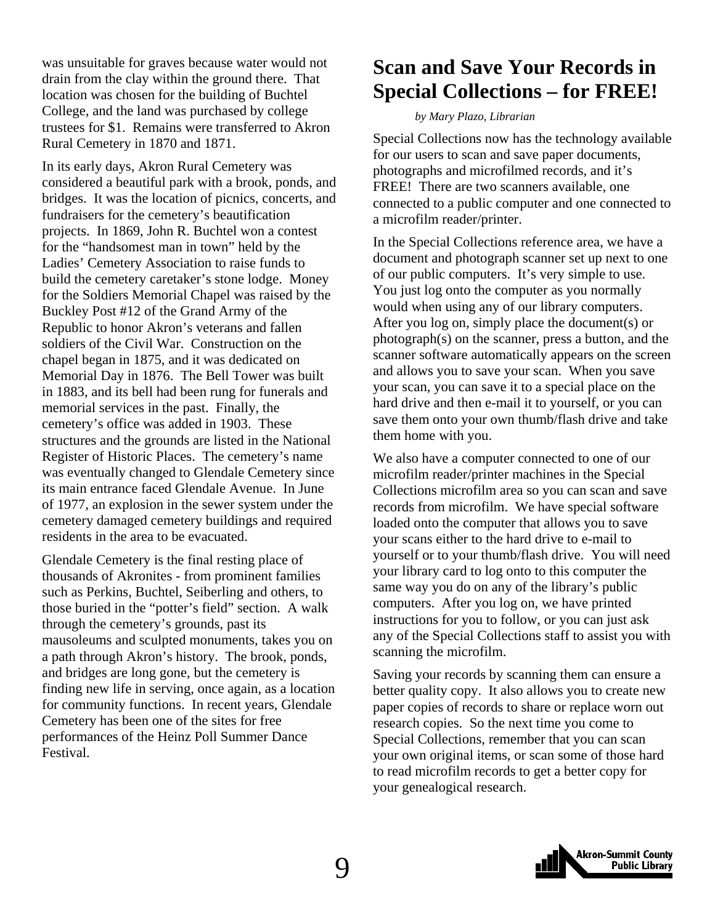<span id="page-8-0"></span>was unsuitable for graves because water would not drain from the clay within the ground there. That location was chosen for the building of Buchtel College, and the land was purchased by college trustees for \$1. Remains were transferred to Akron Rural Cemetery in 1870 and 1871.

In its early days, Akron Rural Cemetery was considered a beautiful park with a brook, ponds, and bridges. It was the location of picnics, concerts, and fundraisers for the cemetery's beautification projects. In 1869, John R. Buchtel won a contest for the "handsomest man in town" held by the Ladies' Cemetery Association to raise funds to build the cemetery caretaker's stone lodge. Money for the Soldiers Memorial Chapel was raised by the Buckley Post #12 of the Grand Army of the Republic to honor Akron's veterans and fallen soldiers of the Civil War. Construction on the chapel began in 1875, and it was dedicated on Memorial Day in 1876. The Bell Tower was built in 1883, and its bell had been rung for funerals and memorial services in the past. Finally, the cemetery's office was added in 1903. These structures and the grounds are listed in the National Register of Historic Places. The cemetery's name was eventually changed to Glendale Cemetery since its main entrance faced Glendale Avenue. In June of 1977, an explosion in the sewer system under the cemetery damaged cemetery buildings and required residents in the area to be evacuated.

Glendale Cemetery is the final resting place of thousands of Akronites - from prominent families such as Perkins, Buchtel, Seiberling and others, to those buried in the "potter's field" section. A walk through the cemetery's grounds, past its mausoleums and sculpted monuments, takes you on a path through Akron's history. The brook, ponds, and bridges are long gone, but the cemetery is finding new life in serving, once again, as a location for community functions. In recent years, Glendale Cemetery has been one of the sites for free performances of the Heinz Poll Summer Dance Festival.

### **Scan and Save Your Records in Special Collections – for FREE!**

#### *by Mary Plazo, Librarian*

Special Collections now has the technology available for our users to scan and save paper documents, photographs and microfilmed records, and it's FREE! There are two scanners available, one connected to a public computer and one connected to a microfilm reader/printer.

In the Special Collections reference area, we have a document and photograph scanner set up next to one of our public computers. It's very simple to use. You just log onto the computer as you normally would when using any of our library computers. After you log on, simply place the document(s) or photograph(s) on the scanner, press a button, and the scanner software automatically appears on the screen and allows you to save your scan. When you save your scan, you can save it to a special place on the hard drive and then e-mail it to yourself, or you can save them onto your own thumb/flash drive and take them home with you.

We also have a computer connected to one of our microfilm reader/printer machines in the Special Collections microfilm area so you can scan and save records from microfilm. We have special software loaded onto the computer that allows you to save your scans either to the hard drive to e-mail to yourself or to your thumb/flash drive. You will need your library card to log onto to this computer the same way you do on any of the library's public computers. After you log on, we have printed instructions for you to follow, or you can just ask any of the Special Collections staff to assist you with scanning the microfilm.

Saving your records by scanning them can ensure a better quality copy. It also allows you to create new paper copies of records to share or replace worn out research copies. So the next time you come to Special Collections, remember that you can scan your own original items, or scan some of those hard to read microfilm records to get a better copy for your genealogical research.

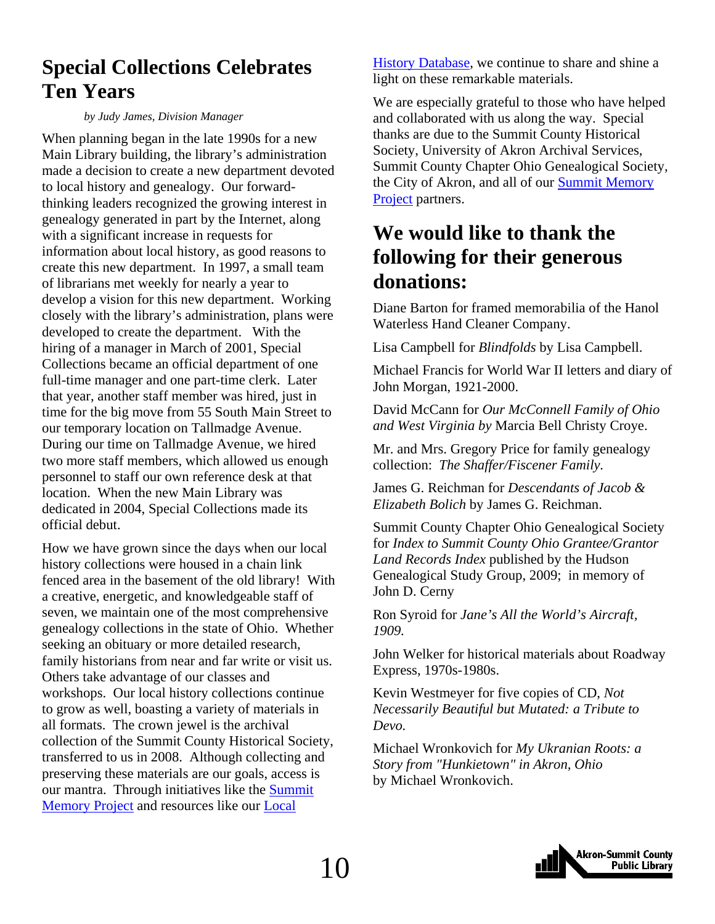### <span id="page-9-0"></span>**Special Collections Celebrates Ten Years**

#### *by Judy James, Division Manager*

When planning began in the late 1990s for a new Main Library building, the library's administration made a decision to create a new department devoted to local history and genealogy. Our forwardthinking leaders recognized the growing interest in genealogy generated in part by the Internet, along with a significant increase in requests for information about local history, as good reasons to create this new department. In 1997, a small team of librarians met weekly for nearly a year to develop a vision for this new department. Working closely with the library's administration, plans were developed to create the department. With the hiring of a manager in March of 2001, Special Collections became an official department of one full-time manager and one part-time clerk. Later that year, another staff member was hired, just in time for the big move from 55 South Main Street to our temporary location on Tallmadge Avenue. During our time on Tallmadge Avenue, we hired two more staff members, which allowed us enough personnel to staff our own reference desk at that location. When the new Main Library was dedicated in 2004, Special Collections made its official debut.

How we have grown since the days when our local history collections were housed in a chain link fenced area in the basement of the old library! With a creative, energetic, and knowledgeable staff of seven, we maintain one of the most comprehensive genealogy collections in the state of Ohio. Whether seeking an obituary or more detailed research, family historians from near and far write or visit us. Others take advantage of our classes and workshops. Our local history collections continue to grow as well, boasting a variety of materials in all formats. The crown jewel is the archival collection of the Summit County Historical Society, transferred to us in 2008. Although collecting and preserving these materials are our goals, access is [our mantra. Through initiatives like the Summit](http://www.summitmemory.org/)  Memory Project and resources like our [Local](http://www.akronlibrary.org/DBS/SpecColldbO/Default.aspx)

[History Database,](http://www.akronlibrary.org/DBS/SpecColldbO/Default.aspx) we continue to share and shine a light on these remarkable materials.

We are especially grateful to those who have helped and collaborated with us along the way. Special thanks are due to the Summit County Historical Society, University of Akron Archival Services, Summit County Chapter Ohio Genealogical Society, the City of Akron, and all of our **Summit Memory** Project partners.

### **We would like to thank the following for their generous donations:**

Diane Barton for framed memorabilia of the Hanol Waterless Hand Cleaner Company.

Lisa Campbell for *Blindfolds* by Lisa Campbell.

Michael Francis for World War II letters and diary of John Morgan, 1921-2000.

David McCann for *Our McConnell Family of Ohio and West Virginia by* Marcia Bell Christy Croye.

Mr. and Mrs. Gregory Price for family genealogy collection: *The Shaffer/Fiscener Family.*

James G. Reichman for *Descendants of Jacob & Elizabeth Bolich* by James G. Reichman.

Summit County Chapter Ohio Genealogical Society for *Index to Summit County Ohio Grantee/Grantor Land Records Index* published by the Hudson Genealogical Study Group, 2009; in memory of John D. Cerny

Ron Syroid for *Jane's All the World's Aircraft, 1909.*

John Welker for historical materials about Roadway Express, 1970s-1980s.

Kevin Westmeyer for five copies of CD, *Not Necessarily Beautiful but Mutated: a Tribute to Devo.*

Michael Wronkovich for *My Ukranian Roots: a Story from "Hunkietown" in Akron, Ohio* by Michael Wronkovich.

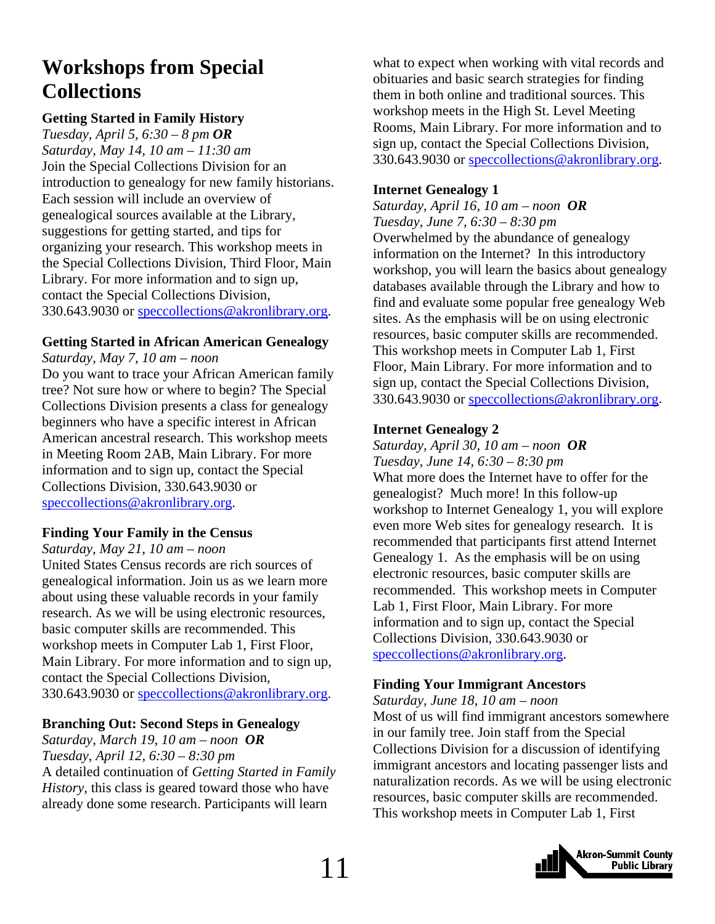### <span id="page-10-0"></span>**Workshops from Special Collections**

#### **Getting Started in Family History**

*Tuesday, April 5, 6:30 – 8 pm OR Saturday, May 14, 10 am – 11:30 am*  Join the Special Collections Division for an introduction to genealogy for new family historians. Each session will include an overview of genealogical sources available at the Library, suggestions for getting started, and tips for organizing your research. This workshop meets in the Special Collections Division, Third Floor, Main Library. For more information and to sign up, contact the Special Collections Division, 330.643.9030 or speccollections@akronlibrary.org.

#### **Getting Started in African American Genealogy**

*Saturday, May 7, 10 am – noon* 

Do you want to trace your African American family tree? Not sure how or where to begin? The Special Collections Division presents a class for genealogy beginners who have a specific interest in African American ancestral research. This workshop meets in Meeting Room 2AB, Main Library. For more information and to sign up, contact the Special Collections Division, 330.643.9030 or speccollections@akronlibrary.org.

#### **Finding Your Family in the Census**

*Saturday, May 21, 10 am – noon* 

United States Census records are rich sources of genealogical information. Join us as we learn more about using these valuable records in your family research. As we will be using electronic resources, basic computer skills are recommended. This workshop meets in Computer Lab 1, First Floor, Main Library. For more information and to sign up, contact the Special Collections Division, 330.643.9030 or speccollections@akronlibrary.org.

#### **Branching Out: Second Steps in Genealogy**

*Saturday, March 19, 10 am – noon OR Tuesday, April 12, 6:30 – 8:30 pm*  A detailed continuation of *Getting Started in Family History,* this class is geared toward those who have already done some research. Participants will learn

what to expect when working with vital records and obituaries and basic search strategies for finding them in both online and traditional sources. This workshop meets in the High St. Level Meeting Rooms, Main Library. For more information and to sign up, contact the Special Collections Division, 330.643.9030 or speccollections@akronlibrary.org.

### **Internet Genealogy 1**

*Saturday, April 16, 10 am – noon OR Tuesday, June 7, 6:30 – 8:30 pm*  Overwhelmed by the abundance of genealogy information on the Internet? In this introductory workshop, you will learn the basics about genealogy databases available through the Library and how to find and evaluate some popular free genealogy Web sites. As the emphasis will be on using electronic resources, basic computer skills are recommended. This workshop meets in Computer Lab 1, First Floor, Main Library. For more information and to sign up, contact the Special Collections Division, 330.643.9030 or speccollections@akronlibrary.org.

#### **Internet Genealogy 2**

*Saturday, April 30, 10 am – noon OR Tuesday, June 14, 6:30 – 8:30 pm* What more does the Internet have to offer for the genealogist? Much more! In this follow-up workshop to Internet Genealogy 1, you will explore even more Web sites for genealogy research. It is recommended that participants first attend Internet Genealogy 1. As the emphasis will be on using electronic resources, basic computer skills are recommended. This workshop meets in Computer Lab 1, First Floor, Main Library. For more information and to sign up, contact the Special Collections Division, 330.643.9030 or speccollections@akronlibrary.org.

#### **Finding Your Immigrant Ancestors**

*Saturday, June 18, 10 am – noon*  Most of us will find immigrant ancestors somewhere in our family tree. Join staff from the Special Collections Division for a discussion of identifying immigrant ancestors and locating passenger lists and naturalization records. As we will be using electronic resources, basic computer skills are recommended. This workshop meets in Computer Lab 1, First

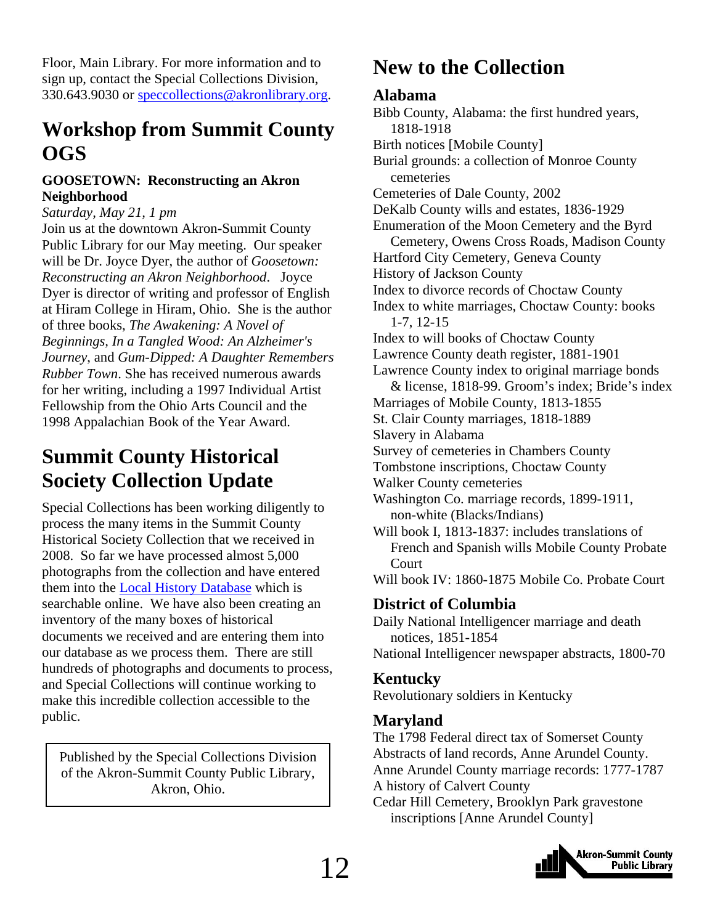<span id="page-11-0"></span>Floor, Main Library. For more information and to sign up, contact the Special Collections Division, 330.643.9030 or speccollections@akronlibrary.org.

### **Workshop from Summit County OGS**

#### **GOOSETOWN: Reconstructing an Akron Neighborhood**

#### *Saturday, May 21, 1 pm*

Join us at the downtown Akron-Summit County Public Library for our May meeting. Our speaker will be Dr. Joyce Dyer, the author of *Goosetown: Reconstructing an Akron Neighborhood*. Joyce Dyer is director of writing and professor of English at Hiram College in Hiram, Ohio. She is the author of three books, *The Awakening: A Novel of Beginnings, In a Tangled Wood: An Alzheimer's Journey*, and *Gum-Dipped: A Daughter Remembers Rubber Town*. She has received numerous awards for her writing, including a 1997 Individual Artist Fellowship from the Ohio Arts Council and the 1998 Appalachian Book of the Year Award.

### **Summit County Historical Society Collection Update**

Special Collections has been working diligently to process the many items in the Summit County Historical Society Collection that we received in 2008. So far we have processed almost 5,000 photographs from the collection and have entered them into the [Local History Database](http://www.akronlibrary.org/DBS/SpecColldbO/Default.aspx) which is searchable online. We have also been creating an inventory of the many boxes of historical documents we received and are entering them into our database as we process them. There are still hundreds of photographs and documents to process, and Special Collections will continue working to make this incredible collection accessible to the public.

Published by the Special Collections Division of the Akron-Summit County Public Library, Akron, Ohio.

### **New to the Collection**

### **Alabama**

Bibb County, Alabama: the first hundred years, 1818-1918 Birth notices [Mobile County] Burial grounds: a collection of Monroe County cemeteries Cemeteries of Dale County, 2002 DeKalb County wills and estates, 1836-1929 Enumeration of the Moon Cemetery and the Byrd Cemetery, Owens Cross Roads, Madison County Hartford City Cemetery, Geneva County History of Jackson County Index to divorce records of Choctaw County Index to white marriages, Choctaw County: books 1-7, 12-15 Index to will books of Choctaw County Lawrence County death register, 1881-1901 Lawrence County index to original marriage bonds & license, 1818-99. Groom's index; Bride's index Marriages of Mobile County, 1813-1855 St. Clair County marriages, 1818-1889 Slavery in Alabama Survey of cemeteries in Chambers County Tombstone inscriptions, Choctaw County Walker County cemeteries Washington Co. marriage records, 1899-1911, non-white (Blacks/Indians) Will book I, 1813-1837: includes translations of French and Spanish wills Mobile County Probate **Court** Will book IV: 1860-1875 Mobile Co. Probate Court **District of Columbia**  Daily National Intelligencer marriage and death notices, 1851-1854 National Intelligencer newspaper abstracts, 1800-70 **Kentucky** Revolutionary soldiers in Kentucky

### **Maryland**

The 1798 Federal direct tax of Somerset County Abstracts of land records, Anne Arundel County. Anne Arundel County marriage records: 1777-1787 A history of Calvert County

Cedar Hill Cemetery, Brooklyn Park gravestone inscriptions [Anne Arundel County]

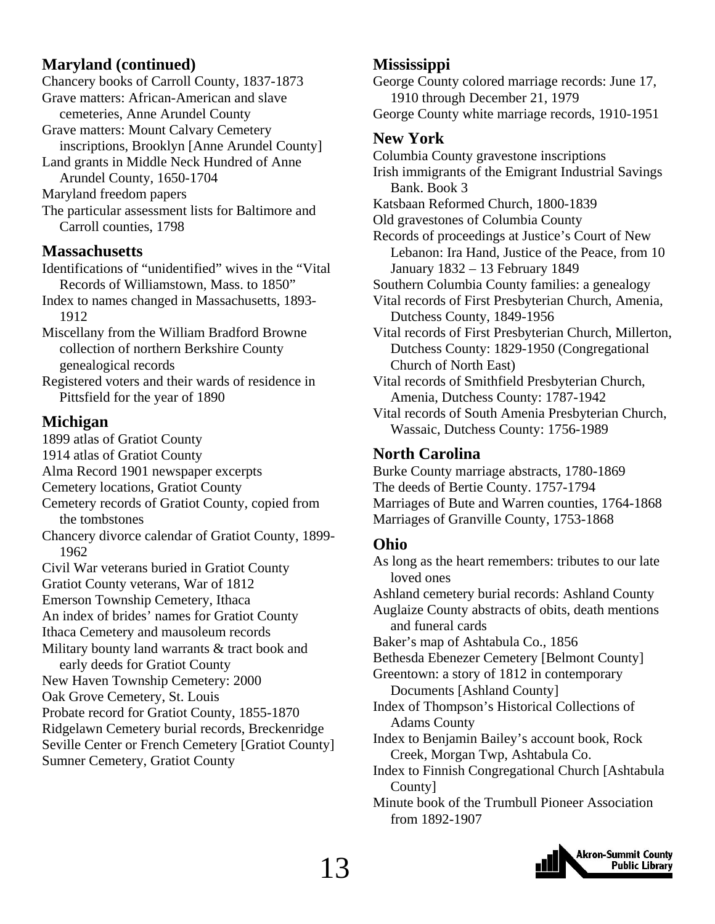### **Maryland (continued)**

Chancery books of Carroll County, 1837-1873 Grave matters: African-American and slave cemeteries, Anne Arundel County Grave matters: Mount Calvary Cemetery inscriptions, Brooklyn [Anne Arundel County] Land grants in Middle Neck Hundred of Anne Arundel County, 1650-1704 Maryland freedom papers The particular assessment lists for Baltimore and

Carroll counties, 1798

#### **Massachusetts**

Identifications of "unidentified" wives in the "Vital Records of Williamstown, Mass. to 1850"

Index to names changed in Massachusetts, 1893- 1912

Miscellany from the William Bradford Browne collection of northern Berkshire County genealogical records

Registered voters and their wards of residence in Pittsfield for the year of 1890

### **Michigan**

1899 atlas of Gratiot County 1914 atlas of Gratiot County Alma Record 1901 newspaper excerpts Cemetery locations, Gratiot County Cemetery records of Gratiot County, copied from the tombstones Chancery divorce calendar of Gratiot County, 1899- 1962 Civil War veterans buried in Gratiot County

Gratiot County veterans, War of 1812

Emerson Township Cemetery, Ithaca

An index of brides' names for Gratiot County

Ithaca Cemetery and mausoleum records

Military bounty land warrants & tract book and

early deeds for Gratiot County

New Haven Township Cemetery: 2000

Oak Grove Cemetery, St. Louis

Probate record for Gratiot County, 1855-1870

Ridgelawn Cemetery burial records, Breckenridge Seville Center or French Cemetery [Gratiot County]

Sumner Cemetery, Gratiot County

### **Mississippi**

George County colored marriage records: June 17, 1910 through December 21, 1979 George County white marriage records, 1910-1951

### **New York**

Columbia County gravestone inscriptions Irish immigrants of the Emigrant Industrial Savings Bank. Book 3 Katsbaan Reformed Church, 1800-1839 Old gravestones of Columbia County Records of proceedings at Justice's Court of New Lebanon: Ira Hand, Justice of the Peace, from 10 January 1832 – 13 February 1849 Southern Columbia County families: a genealogy Vital records of First Presbyterian Church, Amenia, Dutchess County, 1849-1956 Vital records of First Presbyterian Church, Millerton, Dutchess County: 1829-1950 (Congregational Church of North East) Vital records of Smithfield Presbyterian Church, Amenia, Dutchess County: 1787-1942 Vital records of South Amenia Presbyterian Church,

Wassaic, Dutchess County: 1756-1989

### **North Carolina**

Burke County marriage abstracts, 1780-1869 The deeds of Bertie County. 1757-1794 Marriages of Bute and Warren counties, 1764-1868 Marriages of Granville County, 1753-1868

### **Ohio**

As long as the heart remembers: tributes to our late loved ones Ashland cemetery burial records: Ashland County Auglaize County abstracts of obits, death mentions and funeral cards Baker's map of Ashtabula Co., 1856 Bethesda Ebenezer Cemetery [Belmont County] Greentown: a story of 1812 in contemporary Documents [Ashland County] Index of Thompson's Historical Collections of Adams County Index to Benjamin Bailey's account book, Rock Creek, Morgan Twp, Ashtabula Co. Index to Finnish Congregational Church [Ashtabula County] Minute book of the Trumbull Pioneer Association from 1892-1907

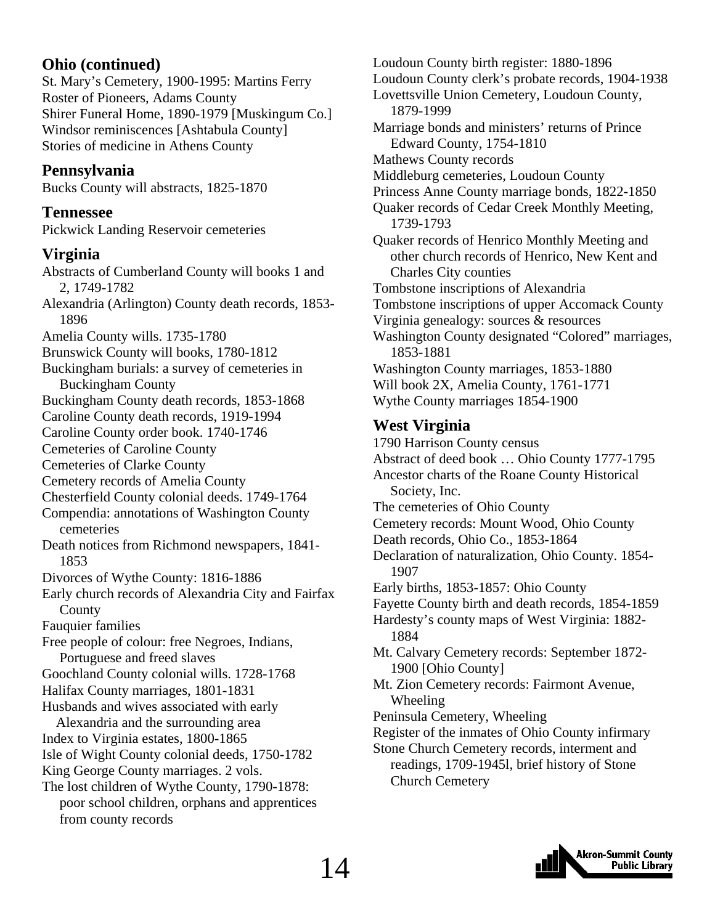### **Ohio (continued)**

St. Mary's Cemetery, 1900-1995: Martins Ferry Roster of Pioneers, Adams County Shirer Funeral Home, 1890-1979 [Muskingum Co.] Windsor reminiscences [Ashtabula County] Stories of medicine in Athens County

### **Pennsylvania**

Bucks County will abstracts, 1825-1870

**Tennessee**  Pickwick Landing Reservoir cemeteries

### **Virginia**

Abstracts of Cumberland County will books 1 and 2, 1749-1782 Alexandria (Arlington) County death records, 1853- 1896 Amelia County wills. 1735-1780 Brunswick County will books, 1780-1812 Buckingham burials: a survey of cemeteries in Buckingham County Buckingham County death records, 1853-1868 Caroline County death records, 1919-1994 Caroline County order book. 1740-1746 Cemeteries of Caroline County Cemeteries of Clarke County Cemetery records of Amelia County Chesterfield County colonial deeds. 1749-1764 Compendia: annotations of Washington County cemeteries Death notices from Richmond newspapers, 1841- 1853 Divorces of Wythe County: 1816-1886 Early church records of Alexandria City and Fairfax County Fauquier families Free people of colour: free Negroes, Indians, Portuguese and freed slaves Goochland County colonial wills. 1728-1768 Halifax County marriages, 1801-1831 Husbands and wives associated with early Alexandria and the surrounding area Index to Virginia estates, 1800-1865 Isle of Wight County colonial deeds, 1750-1782 King George County marriages. 2 vols. The lost children of Wythe County, 1790-1878: poor school children, orphans and apprentices from county records

Loudoun County birth register: 1880-1896 Loudoun County clerk's probate records, 1904-1938 Lovettsville Union Cemetery, Loudoun County, 1879-1999 Marriage bonds and ministers' returns of Prince Edward County, 1754-1810 Mathews County records Middleburg cemeteries, Loudoun County Princess Anne County marriage bonds, 1822-1850 Quaker records of Cedar Creek Monthly Meeting, 1739-1793 Quaker records of Henrico Monthly Meeting and other church records of Henrico, New Kent and Charles City counties Tombstone inscriptions of Alexandria Tombstone inscriptions of upper Accomack County Virginia genealogy: sources & resources Washington County designated "Colored" marriages, 1853-1881 Washington County marriages, 1853-1880 Will book 2X, Amelia County, 1761-1771 Wythe County marriages 1854-1900

### **West Virginia**

1790 Harrison County census Abstract of deed book … Ohio County 1777-1795 Ancestor charts of the Roane County Historical Society, Inc. The cemeteries of Ohio County Cemetery records: Mount Wood, Ohio County Death records, Ohio Co., 1853-1864 Declaration of naturalization, Ohio County. 1854- 1907 Early births, 1853-1857: Ohio County Fayette County birth and death records, 1854-1859 Hardesty's county maps of West Virginia: 1882- 1884 Mt. Calvary Cemetery records: September 1872- 1900 [Ohio County] Mt. Zion Cemetery records: Fairmont Avenue, Wheeling Peninsula Cemetery, Wheeling Register of the inmates of Ohio County infirmary Stone Church Cemetery records, interment and readings, 1709-1945l, brief history of Stone Church Cemetery

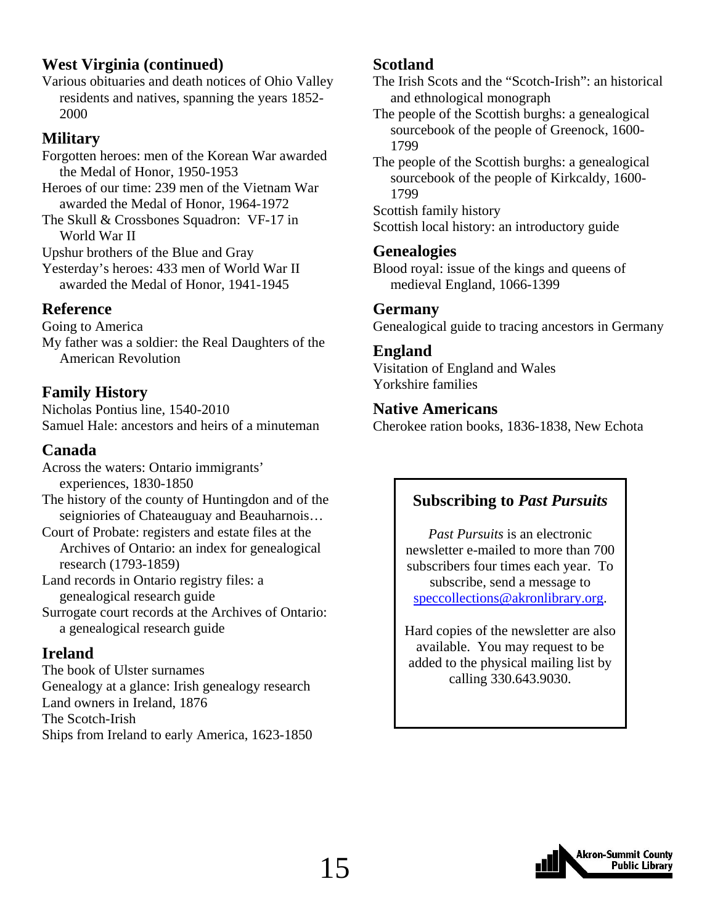### **West Virginia (continued)**

Various obituaries and death notices of Ohio Valley residents and natives, spanning the years 1852- 2000

### **Military**

Forgotten heroes: men of the Korean War awarded the Medal of Honor, 1950-1953 Heroes of our time: 239 men of the Vietnam War

awarded the Medal of Honor, 1964-1972

The Skull & Crossbones Squadron: VF-17 in World War II

Upshur brothers of the Blue and Gray

Yesterday's heroes: 433 men of World War II awarded the Medal of Honor, 1941-1945

### **Reference**

Going to America My father was a soldier: the Real Daughters of the American Revolution

### **Family History**

Nicholas Pontius line, 1540-2010 Samuel Hale: ancestors and heirs of a minuteman

### **Canada**

Across the waters: Ontario immigrants' experiences, 1830-1850 The history of the county of Huntingdon and of the seigniories of Chateauguay and Beauharnois...

Court of Probate: registers and estate files at the Archives of Ontario: an index for genealogical research (1793-1859)

Land records in Ontario registry files: a genealogical research guide

Surrogate court records at the Archives of Ontario: a genealogical research guide

### **Ireland**

The book of Ulster surnames Genealogy at a glance: Irish genealogy research Land owners in Ireland, 1876 The Scotch-Irish Ships from Ireland to early America, 1623-1850

### **Scotland**

The Irish Scots and the "Scotch-Irish": an historical and ethnological monograph

The people of the Scottish burghs: a genealogical sourcebook of the people of Greenock, 1600- 1799

The people of the Scottish burghs: a genealogical sourcebook of the people of Kirkcaldy, 1600- 1799

Scottish family history

Scottish local history: an introductory guide

### **Genealogies**

Blood royal: issue of the kings and queens of medieval England, 1066-1399

### **Germany**

Genealogical guide to tracing ancestors in Germany

### **England**

Visitation of England and Wales Yorkshire families

### **Native Americans**

Cherokee ration books, 1836-1838, New Echota

### **Subscribing to** *Past Pursuits*

*Past Pursuits* is an electronic newsletter e-mailed to more than 700 subscribers four times each year. To subscribe, send a message to speccollections@akronlibrary.org.

Hard copies of the newsletter are also available. You may request to be added to the physical mailing list by calling 330.643.9030.